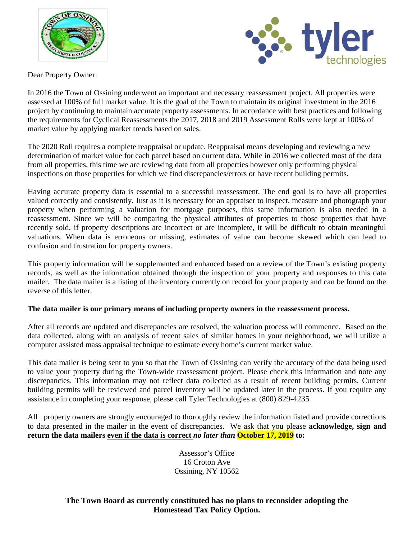



Dear Property Owner:

In 2016 the Town of Ossining underwent an important and necessary reassessment project. All properties were assessed at 100% of full market value. It is the goal of the Town to maintain its original investment in the 2016 project by continuing to maintain accurate property assessments. In accordance with best practices and following the requirements for Cyclical Reassessments the 2017, 2018 and 2019 Assessment Rolls were kept at 100% of market value by applying market trends based on sales.

The 2020 Roll requires a complete reappraisal or update. Reappraisal means developing and reviewing a new determination of market value for each parcel based on current data. While in 2016 we collected most of the data from all properties, this time we are reviewing data from all properties however only performing physical inspections on those properties for which we find discrepancies/errors or have recent building permits.

Having accurate property data is essential to a successful reassessment. The end goal is to have all properties valued correctly and consistently. Just as it is necessary for an appraiser to inspect, measure and photograph your property when performing a valuation for mortgage purposes, this same information is also needed in a reassessment. Since we will be comparing the physical attributes of properties to those properties that have recently sold, if property descriptions are incorrect or are incomplete, it will be difficult to obtain meaningful valuations. When data is erroneous or missing, estimates of value can become skewed which can lead to confusion and frustration for property owners.

This property information will be supplemented and enhanced based on a review of the Town's existing property records, as well as the information obtained through the inspection of your property and responses to this data mailer. The data mailer is a listing of the inventory currently on record for your property and can be found on the reverse of this letter.

## **The data mailer is our primary means of including property owners in the reassessment process.**

After all records are updated and discrepancies are resolved, the valuation process will commence. Based on the data collected, along with an analysis of recent sales of similar homes in your neighborhood, we will utilize a computer assisted mass appraisal technique to estimate every home's current market value.

This data mailer is being sent to you so that the Town of Ossining can verify the accuracy of the data being used to value your property during the Town-wide reassessment project. Please check this information and note any discrepancies. This information may not reflect data collected as a result of recent building permits. Current building permits will be reviewed and parcel inventory will be updated later in the process. If you require any assistance in completing your response, please call Tyler Technologies at (800) 829-4235

All property owners are strongly encouraged to thoroughly review the information listed and provide corrections to data presented in the mailer in the event of discrepancies. We ask that you please **acknowledge, sign and return the data mailers even if the data is correct** *no later than* **October 17, 2019 to:**

> Assessor's Office 16 Croton Ave Ossining, NY 10562

**The Town Board as currently constituted has no plans to reconsider adopting the Homestead Tax Policy Option.**